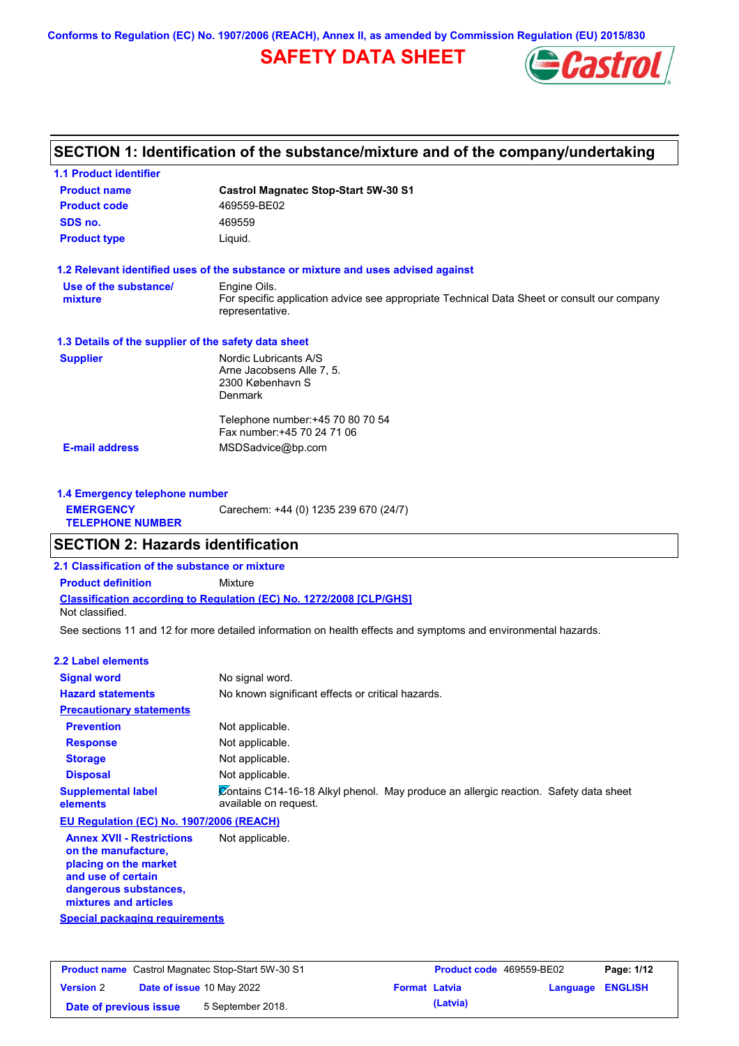**Conforms to Regulation (EC) No. 1907/2006 (REACH), Annex II, as amended by Commission Regulation (EU) 2015/830**

## **SAFETY DATA SHEET**



## **SECTION 1: Identification of the substance/mixture and of the company/undertaking**

| <b>1.1 Product identifier</b>                        |                                                                                                                |
|------------------------------------------------------|----------------------------------------------------------------------------------------------------------------|
| <b>Product name</b>                                  | <b>Castrol Magnatec Stop-Start 5W-30 S1</b>                                                                    |
| <b>Product code</b>                                  | 469559-BE02                                                                                                    |
| SDS no.                                              | 469559                                                                                                         |
| <b>Product type</b>                                  | Liquid.                                                                                                        |
|                                                      | 1.2 Relevant identified uses of the substance or mixture and uses advised against                              |
| Use of the substance/                                | Engine Oils.                                                                                                   |
| mixture                                              | For specific application advice see appropriate Technical Data Sheet or consult our company<br>representative. |
| 1.3 Details of the supplier of the safety data sheet |                                                                                                                |
| <b>Supplier</b>                                      | Nordic Lubricants A/S                                                                                          |
|                                                      | Arne Jacobsens Alle 7, 5.                                                                                      |
|                                                      | 2300 København S                                                                                               |
|                                                      | <b>Denmark</b>                                                                                                 |
|                                                      | Telephone number: +45 70 80 70 54                                                                              |
|                                                      | Fax number: +45 70 24 71 06                                                                                    |
| <b>E-mail address</b>                                | MSDSadvice@bp.com                                                                                              |
|                                                      |                                                                                                                |
|                                                      |                                                                                                                |

| 1.4 Emergency telephone number              |                                       |  |  |  |
|---------------------------------------------|---------------------------------------|--|--|--|
| <b>EMERGENCY</b><br><b>TELEPHONE NUMBER</b> | Carechem: +44 (0) 1235 239 670 (24/7) |  |  |  |

## **SECTION 2: Hazards identification**

**2.1 Classification of the substance or mixture**

**Classification according to Regulation (EC) No. 1272/2008 [CLP/GHS] Product definition** Mixture Not classified.

See sections 11 and 12 for more detailed information on health effects and symptoms and environmental hazards.

#### **2.2 Label elements**

| <b>Signal word</b>                                                               | No signal word.                                                                                               |
|----------------------------------------------------------------------------------|---------------------------------------------------------------------------------------------------------------|
| <b>Hazard statements</b>                                                         | No known significant effects or critical hazards.                                                             |
| <b>Precautionary statements</b>                                                  |                                                                                                               |
| <b>Prevention</b>                                                                | Not applicable.                                                                                               |
| <b>Response</b>                                                                  | Not applicable.                                                                                               |
| <b>Storage</b>                                                                   | Not applicable.                                                                                               |
| <b>Disposal</b>                                                                  | Not applicable.                                                                                               |
| <b>Supplemental label</b><br>elements                                            | Contains C14-16-18 Alkyl phenol. May produce an allergic reaction. Safety data sheet<br>available on request. |
| EU Regulation (EC) No. 1907/2006 (REACH)                                         |                                                                                                               |
| <b>Annex XVII - Restrictions</b><br>on the manufacture,<br>placing on the market | Not applicable.                                                                                               |

**and use of certain dangerous substances, mixtures and articles**

| <b>Product name</b> Castrol Magnatec Stop-Start 5W-30 S1 |  |                                  | Product code 469559-BE02 |          | Page: 1/12 |                |
|----------------------------------------------------------|--|----------------------------------|--------------------------|----------|------------|----------------|
| <b>Version 2</b>                                         |  | <b>Date of issue 10 May 2022</b> | <b>Format Latvia</b>     |          | Language   | <b>ENGLISH</b> |
| Date of previous issue                                   |  | 5 September 2018.                |                          | (Latvia) |            |                |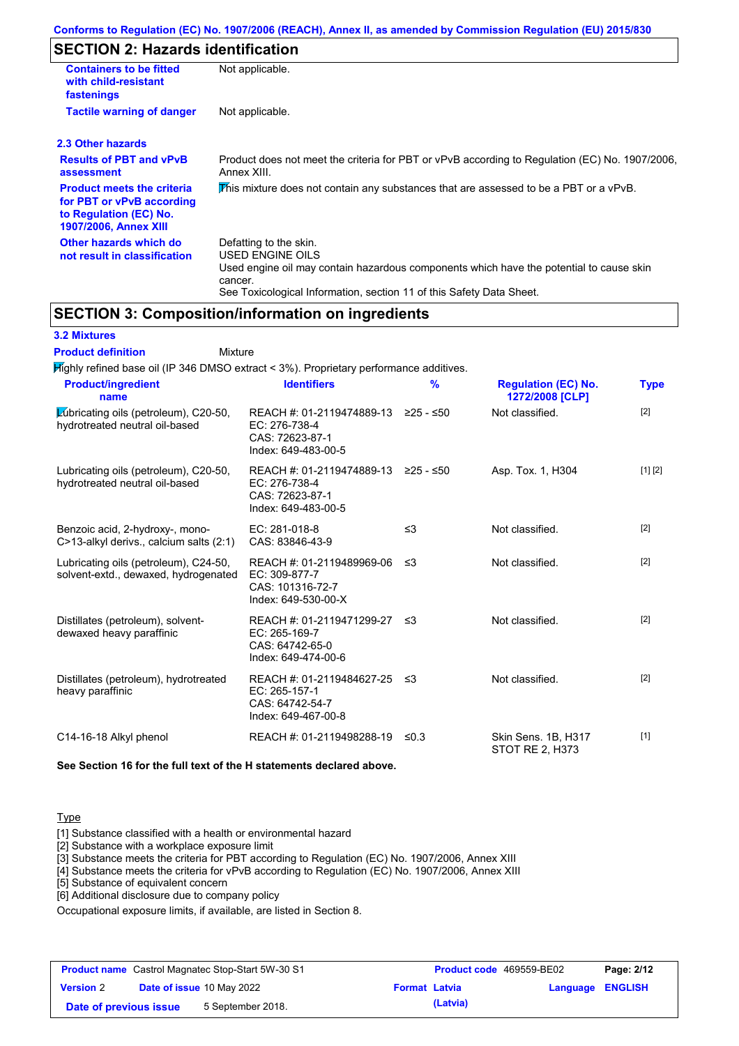# **SECTION 2: Hazards identification**

| <b>Containers to be fitted</b><br>with child-resistant<br>fastenings                                                     | Not applicable.                                                                                                                                                                                                          |
|--------------------------------------------------------------------------------------------------------------------------|--------------------------------------------------------------------------------------------------------------------------------------------------------------------------------------------------------------------------|
| <b>Tactile warning of danger</b>                                                                                         | Not applicable.                                                                                                                                                                                                          |
| 2.3 Other hazards                                                                                                        |                                                                                                                                                                                                                          |
| <b>Results of PBT and vPvB</b><br>assessment                                                                             | Product does not meet the criteria for PBT or vPvB according to Regulation (EC) No. 1907/2006,<br>Annex XIII.                                                                                                            |
| <b>Product meets the criteria</b><br>for PBT or vPvB according<br>to Regulation (EC) No.<br><b>1907/2006, Annex XIII</b> | This mixture does not contain any substances that are assessed to be a PBT or a vPvB.                                                                                                                                    |
| Other hazards which do<br>not result in classification                                                                   | Defatting to the skin.<br>USED ENGINE OILS<br>Used engine oil may contain hazardous components which have the potential to cause skin<br>cancer.<br>See Toxicological Information, section 11 of this Safety Data Sheet. |

**SECTION 3: Composition/information on ingredients**

### **3.2 Mixtures**

Mixture **Product definition**

| $H$ ighly refined base oil (IP 346 DMSO extract < 3%). Proprietary performance additives. |                                                                                                |           |                                               |             |
|-------------------------------------------------------------------------------------------|------------------------------------------------------------------------------------------------|-----------|-----------------------------------------------|-------------|
| <b>Product/ingredient</b><br>name                                                         | <b>Identifiers</b>                                                                             | %         | <b>Regulation (EC) No.</b><br>1272/2008 [CLP] | <b>Type</b> |
| Lubricating oils (petroleum), C20-50,<br>hydrotreated neutral oil-based                   | REACH #: 01-2119474889-13 ≥25 - ≤50<br>EC: 276-738-4<br>CAS: 72623-87-1<br>Index: 649-483-00-5 |           | Not classified.                               | $[2]$       |
| Lubricating oils (petroleum), C20-50,<br>hydrotreated neutral oil-based                   | REACH #: 01-2119474889-13<br>EC: 276-738-4<br>CAS: 72623-87-1<br>Index: 649-483-00-5           | ≥25 - ≤50 | Asp. Tox. 1, H304                             | [1] [2]     |
| Benzoic acid, 2-hydroxy-, mono-<br>C>13-alkyl derivs., calcium salts (2:1)                | EC: 281-018-8<br>CAS: 83846-43-9                                                               | $\leq$ 3  | Not classified.                               | $[2]$       |
| Lubricating oils (petroleum), C24-50,<br>solvent-extd., dewaxed, hydrogenated             | REACH #: 01-2119489969-06<br>EC: 309-877-7<br>CAS: 101316-72-7<br>Index: 649-530-00-X          | ≤3        | Not classified.                               | $[2]$       |
| Distillates (petroleum), solvent-<br>dewaxed heavy paraffinic                             | REACH #: 01-2119471299-27 ≤3<br>$EC: 265-169-7$<br>CAS: 64742-65-0<br>Index: 649-474-00-6      |           | Not classified.                               | $[2]$       |
| Distillates (petroleum), hydrotreated<br>heavy paraffinic                                 | REACH #: 01-2119484627-25<br>EC: 265-157-1<br>CAS: 64742-54-7<br>Index: 649-467-00-8           | -≤3       | Not classified.                               | $[2]$       |
| C14-16-18 Alkyl phenol                                                                    | REACH #: 01-2119498288-19                                                                      | ≤0.3      | Skin Sens. 1B, H317<br>STOT RE 2, H373        | $[1]$       |

**See Section 16 for the full text of the H statements declared above.**

## Type

[1] Substance classified with a health or environmental hazard

[2] Substance with a workplace exposure limit

[3] Substance meets the criteria for PBT according to Regulation (EC) No. 1907/2006, Annex XIII

[4] Substance meets the criteria for vPvB according to Regulation (EC) No. 1907/2006, Annex XIII

[5] Substance of equivalent concern

[6] Additional disclosure due to company policy

Occupational exposure limits, if available, are listed in Section 8.

| <b>Product name</b> Castrol Magnatec Stop-Start 5W-30 S1 |  |                                  | Product code 469559-BE02 |          | Page: 2/12              |  |
|----------------------------------------------------------|--|----------------------------------|--------------------------|----------|-------------------------|--|
| <b>Version 2</b>                                         |  | <b>Date of issue 10 May 2022</b> | <b>Format Latvia</b>     |          | <b>Language ENGLISH</b> |  |
| Date of previous issue                                   |  | 5 September 2018.                |                          | (Latvia) |                         |  |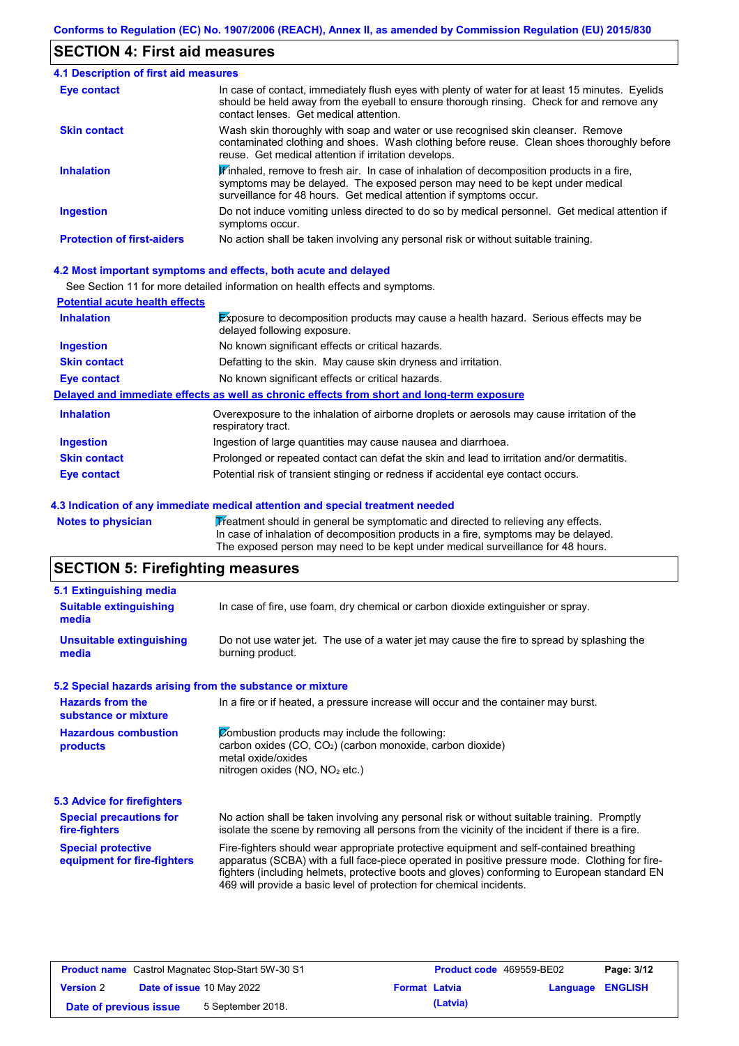## **SECTION 4: First aid measures**

| <b>4.1 Description of first aid measures</b> |                                                                                                                                                                                                                                                              |
|----------------------------------------------|--------------------------------------------------------------------------------------------------------------------------------------------------------------------------------------------------------------------------------------------------------------|
| <b>Eye contact</b>                           | In case of contact, immediately flush eyes with plenty of water for at least 15 minutes. Eyelids<br>should be held away from the eyeball to ensure thorough rinsing. Check for and remove any<br>contact lenses. Get medical attention.                      |
| <b>Skin contact</b>                          | Wash skin thoroughly with soap and water or use recognised skin cleanser. Remove<br>contaminated clothing and shoes. Wash clothing before reuse. Clean shoes thoroughly before<br>reuse. Get medical attention if irritation develops.                       |
| <b>Inhalation</b>                            | $\mathbf F$ inhaled, remove to fresh air. In case of inhalation of decomposition products in a fire,<br>symptoms may be delayed. The exposed person may need to be kept under medical<br>surveillance for 48 hours. Get medical attention if symptoms occur. |
| <b>Ingestion</b>                             | Do not induce vomiting unless directed to do so by medical personnel. Get medical attention if<br>symptoms occur.                                                                                                                                            |
| <b>Protection of first-aiders</b>            | No action shall be taken involving any personal risk or without suitable training.                                                                                                                                                                           |

### **4.2 Most important symptoms and effects, both acute and delayed**

See Section 11 for more detailed information on health effects and symptoms.

| <b>Potential acute health effects</b> |                                                                                                                            |
|---------------------------------------|----------------------------------------------------------------------------------------------------------------------------|
| <b>Inhalation</b>                     | <b>Exposure to decomposition products may cause a health hazard. Serious effects may be</b><br>delayed following exposure. |
| <b>Ingestion</b>                      | No known significant effects or critical hazards.                                                                          |
| <b>Skin contact</b>                   | Defatting to the skin. May cause skin dryness and irritation.                                                              |
| Eye contact                           | No known significant effects or critical hazards.                                                                          |
|                                       | Delayed and immediate effects as well as chronic effects from short and long-term exposure                                 |
| <b>Inhalation</b>                     | Overexposure to the inhalation of airborne droplets or aerosols may cause irritation of the<br>respiratory tract.          |
| <b>Ingestion</b>                      | Ingestion of large quantities may cause nausea and diarrhoea.                                                              |
| <b>Skin contact</b>                   | Prolonged or repeated contact can defat the skin and lead to irritation and/or dermatitis.                                 |
| Eye contact                           | Potential risk of transient stinging or redness if accidental eye contact occurs.                                          |

#### **4.3 Indication of any immediate medical attention and special treatment needed**

Notes to physician **Treatment should in general be symptomatic and directed to relieving any effects.** In case of inhalation of decomposition products in a fire, symptoms may be delayed. The exposed person may need to be kept under medical surveillance for 48 hours.

## **SECTION 5: Firefighting measures**

| 5.1 Extinguishing media                                   |                                                                                                                                                                                                                                                                                                                                                                   |
|-----------------------------------------------------------|-------------------------------------------------------------------------------------------------------------------------------------------------------------------------------------------------------------------------------------------------------------------------------------------------------------------------------------------------------------------|
| <b>Suitable extinguishing</b><br>media                    | In case of fire, use foam, dry chemical or carbon dioxide extinguisher or spray.                                                                                                                                                                                                                                                                                  |
| <b>Unsuitable extinguishing</b><br>media                  | Do not use water jet. The use of a water jet may cause the fire to spread by splashing the<br>burning product.                                                                                                                                                                                                                                                    |
| 5.2 Special hazards arising from the substance or mixture |                                                                                                                                                                                                                                                                                                                                                                   |
| <b>Hazards from the</b><br>substance or mixture           | In a fire or if heated, a pressure increase will occur and the container may burst.                                                                                                                                                                                                                                                                               |
| <b>Hazardous combustion</b><br>products                   | Combustion products may include the following:<br>carbon oxides (CO, CO <sub>2</sub> ) (carbon monoxide, carbon dioxide)<br>metal oxide/oxides<br>nitrogen oxides (NO, NO <sub>2</sub> etc.)                                                                                                                                                                      |
| 5.3 Advice for firefighters                               |                                                                                                                                                                                                                                                                                                                                                                   |
| <b>Special precautions for</b><br>fire-fighters           | No action shall be taken involving any personal risk or without suitable training. Promptly<br>isolate the scene by removing all persons from the vicinity of the incident if there is a fire.                                                                                                                                                                    |
| <b>Special protective</b><br>equipment for fire-fighters  | Fire-fighters should wear appropriate protective equipment and self-contained breathing<br>apparatus (SCBA) with a full face-piece operated in positive pressure mode. Clothing for fire-<br>fighters (including helmets, protective boots and gloves) conforming to European standard EN<br>469 will provide a basic level of protection for chemical incidents. |

| <b>Product name</b> Castrol Magnatec Stop-Start 5W-30 S1 |  | <b>Product code</b> 469559-BE02  |                      | Page: 3/12 |                         |  |
|----------------------------------------------------------|--|----------------------------------|----------------------|------------|-------------------------|--|
| <b>Version 2</b>                                         |  | <b>Date of issue 10 May 2022</b> | <b>Format Latvia</b> |            | <b>Language ENGLISH</b> |  |
| Date of previous issue                                   |  | 5 September 2018.                |                      | (Latvia)   |                         |  |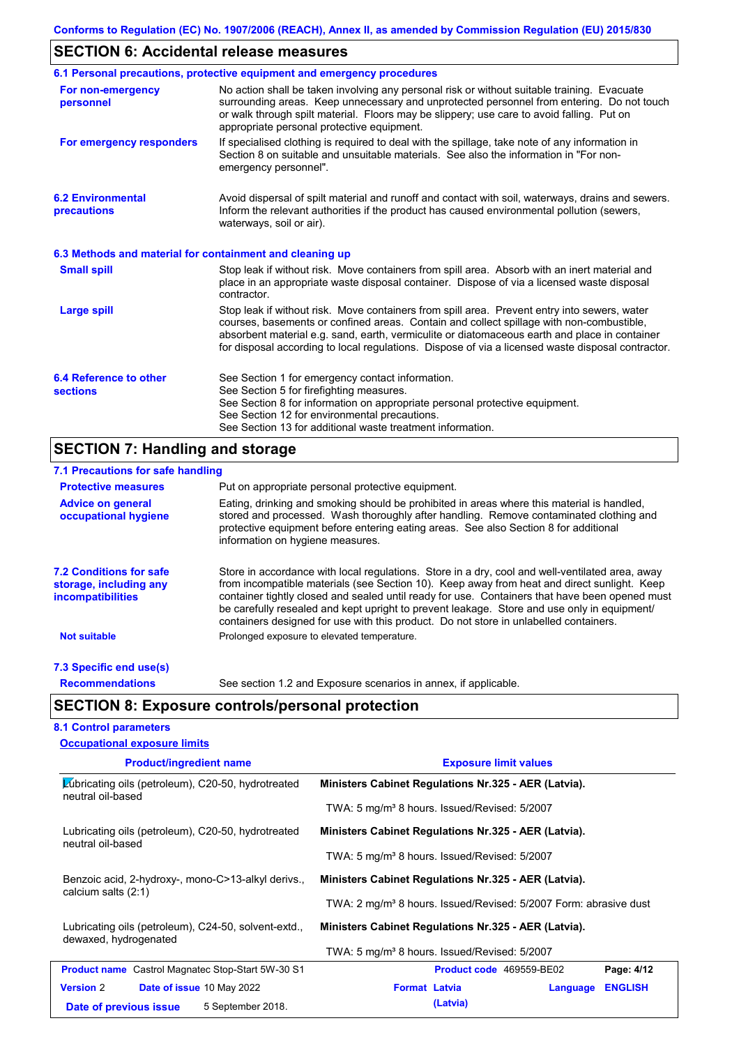# **SECTION 6: Accidental release measures**

|                                                          | 6.1 Personal precautions, protective equipment and emergency procedures                                                                                                                                                                                                                                                                                                                        |
|----------------------------------------------------------|------------------------------------------------------------------------------------------------------------------------------------------------------------------------------------------------------------------------------------------------------------------------------------------------------------------------------------------------------------------------------------------------|
| For non-emergency<br>personnel                           | No action shall be taken involving any personal risk or without suitable training. Evacuate<br>surrounding areas. Keep unnecessary and unprotected personnel from entering. Do not touch<br>or walk through spilt material. Floors may be slippery; use care to avoid falling. Put on<br>appropriate personal protective equipment.                                                            |
| For emergency responders                                 | If specialised clothing is required to deal with the spillage, take note of any information in<br>Section 8 on suitable and unsuitable materials. See also the information in "For non-<br>emergency personnel".                                                                                                                                                                               |
| <b>6.2 Environmental</b><br>precautions                  | Avoid dispersal of spilt material and runoff and contact with soil, waterways, drains and sewers.<br>Inform the relevant authorities if the product has caused environmental pollution (sewers,<br>waterways, soil or air).                                                                                                                                                                    |
| 6.3 Methods and material for containment and cleaning up |                                                                                                                                                                                                                                                                                                                                                                                                |
| <b>Small spill</b>                                       | Stop leak if without risk. Move containers from spill area. Absorb with an inert material and<br>place in an appropriate waste disposal container. Dispose of via a licensed waste disposal<br>contractor.                                                                                                                                                                                     |
| <b>Large spill</b>                                       | Stop leak if without risk. Move containers from spill area. Prevent entry into sewers, water<br>courses, basements or confined areas. Contain and collect spillage with non-combustible,<br>absorbent material e.g. sand, earth, vermiculite or diatomaceous earth and place in container<br>for disposal according to local regulations. Dispose of via a licensed waste disposal contractor. |
| 6.4 Reference to other<br><b>sections</b>                | See Section 1 for emergency contact information.<br>See Section 5 for firefighting measures.<br>See Section 8 for information on appropriate personal protective equipment.<br>See Section 12 for environmental precautions.<br>See Section 13 for additional waste treatment information.                                                                                                     |

# **SECTION 7: Handling and storage**

| 7.1 Precautions for safe handling                                                    |                                                                                                                                                                                                                                                                                                                                                                                                                                                                                          |
|--------------------------------------------------------------------------------------|------------------------------------------------------------------------------------------------------------------------------------------------------------------------------------------------------------------------------------------------------------------------------------------------------------------------------------------------------------------------------------------------------------------------------------------------------------------------------------------|
| <b>Protective measures</b>                                                           | Put on appropriate personal protective equipment.                                                                                                                                                                                                                                                                                                                                                                                                                                        |
| <b>Advice on general</b><br>occupational hygiene                                     | Eating, drinking and smoking should be prohibited in areas where this material is handled,<br>stored and processed. Wash thoroughly after handling. Remove contaminated clothing and<br>protective equipment before entering eating areas. See also Section 8 for additional<br>information on hygiene measures.                                                                                                                                                                         |
| <b>7.2 Conditions for safe</b><br>storage, including any<br><i>incompatibilities</i> | Store in accordance with local regulations. Store in a dry, cool and well-ventilated area, away<br>from incompatible materials (see Section 10). Keep away from heat and direct sunlight. Keep<br>container tightly closed and sealed until ready for use. Containers that have been opened must<br>be carefully resealed and kept upright to prevent leakage. Store and use only in equipment/<br>containers designed for use with this product. Do not store in unlabelled containers. |
| <b>Not suitable</b>                                                                  | Prolonged exposure to elevated temperature.                                                                                                                                                                                                                                                                                                                                                                                                                                              |
| 7.3 Specific end use(s)                                                              |                                                                                                                                                                                                                                                                                                                                                                                                                                                                                          |
| <b>Recommendations</b>                                                               | See section 1.2 and Exposure scenarios in annex, if applicable.                                                                                                                                                                                                                                                                                                                                                                                                                          |
|                                                                                      | <b>SECTION 8: Exposure controls/personal protection</b>                                                                                                                                                                                                                                                                                                                                                                                                                                  |

## **8.1 Control parameters**

 $\mathsf{I}$ 

| <b>Occupational exposure limits</b>                                           |                                                                              |
|-------------------------------------------------------------------------------|------------------------------------------------------------------------------|
| <b>Product/ingredient name</b>                                                | <b>Exposure limit values</b>                                                 |
| Lubricating oils (petroleum), C20-50, hydrotreated<br>neutral oil-based       | Ministers Cabinet Regulations Nr.325 - AER (Latvia).                         |
|                                                                               | TWA: 5 mg/m <sup>3</sup> 8 hours. Issued/Revised: 5/2007                     |
| Lubricating oils (petroleum), C20-50, hydrotreated<br>neutral oil-based       | Ministers Cabinet Regulations Nr.325 - AER (Latvia).                         |
|                                                                               | TWA: 5 mg/m <sup>3</sup> 8 hours. Issued/Revised: 5/2007                     |
| Benzoic acid, 2-hydroxy-, mono-C>13-alkyl derivs.,<br>calcium salts (2:1)     | Ministers Cabinet Regulations Nr.325 - AER (Latvia).                         |
|                                                                               | TWA: 2 mg/m <sup>3</sup> 8 hours. Issued/Revised: 5/2007 Form: abrasive dust |
| Lubricating oils (petroleum), C24-50, solvent-extd.,<br>dewaxed, hydrogenated | Ministers Cabinet Regulations Nr.325 - AER (Latvia).                         |
|                                                                               | TWA: 5 mg/m <sup>3</sup> 8 hours. Issued/Revised: 5/2007                     |
| <b>Product name</b> Castrol Magnatec Stop-Start 5W-30 S1                      | Product code 469559-BE02<br>Page: 4/12                                       |
| <b>Version 2</b><br><b>Date of issue 10 May 2022</b>                          | <b>Format Latvia</b><br><b>ENGLISH</b><br>Language                           |
| 5 September 2018.<br>Date of previous issue                                   | (Latvia)                                                                     |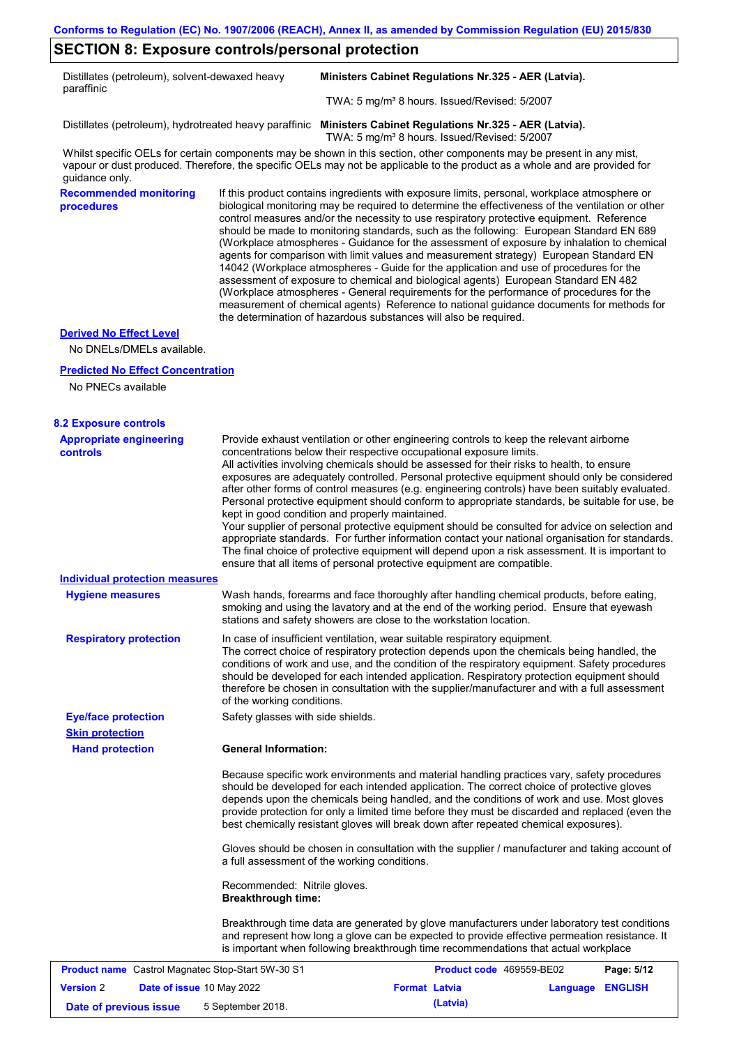# **SECTION 8: Exposure controls/personal protection**

| Distillates (petroleum), solvent-dewaxed heavy<br>paraffinic |                                                           | Ministers Cabinet Regulations Nr.325 - AER (Latvia).                                                                                                                                                                                                                                                                                                                                                                                                                                                                                                                                                                                                                                                                                                                                                                                                                                                                                                                                                                       |
|--------------------------------------------------------------|-----------------------------------------------------------|----------------------------------------------------------------------------------------------------------------------------------------------------------------------------------------------------------------------------------------------------------------------------------------------------------------------------------------------------------------------------------------------------------------------------------------------------------------------------------------------------------------------------------------------------------------------------------------------------------------------------------------------------------------------------------------------------------------------------------------------------------------------------------------------------------------------------------------------------------------------------------------------------------------------------------------------------------------------------------------------------------------------------|
|                                                              |                                                           | TWA: 5 mg/m <sup>3</sup> 8 hours. Issued/Revised: 5/2007                                                                                                                                                                                                                                                                                                                                                                                                                                                                                                                                                                                                                                                                                                                                                                                                                                                                                                                                                                   |
|                                                              |                                                           | Distillates (petroleum), hydrotreated heavy paraffinic Ministers Cabinet Regulations Nr.325 - AER (Latvia).<br>TWA: 5 mg/m <sup>3</sup> 8 hours. Issued/Revised: 5/2007                                                                                                                                                                                                                                                                                                                                                                                                                                                                                                                                                                                                                                                                                                                                                                                                                                                    |
| guidance only.                                               |                                                           | Whilst specific OELs for certain components may be shown in this section, other components may be present in any mist,<br>vapour or dust produced. Therefore, the specific OELs may not be applicable to the product as a whole and are provided for                                                                                                                                                                                                                                                                                                                                                                                                                                                                                                                                                                                                                                                                                                                                                                       |
| <b>Recommended monitoring</b><br>procedures                  |                                                           | If this product contains ingredients with exposure limits, personal, workplace atmosphere or<br>biological monitoring may be required to determine the effectiveness of the ventilation or other<br>control measures and/or the necessity to use respiratory protective equipment. Reference<br>should be made to monitoring standards, such as the following: European Standard EN 689<br>(Workplace atmospheres - Guidance for the assessment of exposure by inhalation to chemical<br>agents for comparison with limit values and measurement strategy) European Standard EN<br>14042 (Workplace atmospheres - Guide for the application and use of procedures for the<br>assessment of exposure to chemical and biological agents) European Standard EN 482<br>(Workplace atmospheres - General requirements for the performance of procedures for the<br>measurement of chemical agents) Reference to national guidance documents for methods for<br>the determination of hazardous substances will also be required. |
| <b>Derived No Effect Level</b>                               |                                                           |                                                                                                                                                                                                                                                                                                                                                                                                                                                                                                                                                                                                                                                                                                                                                                                                                                                                                                                                                                                                                            |
| No DNELs/DMELs available.                                    |                                                           |                                                                                                                                                                                                                                                                                                                                                                                                                                                                                                                                                                                                                                                                                                                                                                                                                                                                                                                                                                                                                            |
| <b>Predicted No Effect Concentration</b>                     |                                                           |                                                                                                                                                                                                                                                                                                                                                                                                                                                                                                                                                                                                                                                                                                                                                                                                                                                                                                                                                                                                                            |
| No PNECs available                                           |                                                           |                                                                                                                                                                                                                                                                                                                                                                                                                                                                                                                                                                                                                                                                                                                                                                                                                                                                                                                                                                                                                            |
| <b>8.2 Exposure controls</b>                                 |                                                           |                                                                                                                                                                                                                                                                                                                                                                                                                                                                                                                                                                                                                                                                                                                                                                                                                                                                                                                                                                                                                            |
| <b>Appropriate engineering</b><br><b>controls</b>            |                                                           | Provide exhaust ventilation or other engineering controls to keep the relevant airborne<br>concentrations below their respective occupational exposure limits.<br>All activities involving chemicals should be assessed for their risks to health, to ensure<br>exposures are adequately controlled. Personal protective equipment should only be considered<br>after other forms of control measures (e.g. engineering controls) have been suitably evaluated.<br>Personal protective equipment should conform to appropriate standards, be suitable for use, be<br>kept in good condition and properly maintained.<br>Your supplier of personal protective equipment should be consulted for advice on selection and<br>appropriate standards. For further information contact your national organisation for standards.<br>The final choice of protective equipment will depend upon a risk assessment. It is important to<br>ensure that all items of personal protective equipment are compatible.                    |
| <b>Individual protection measures</b>                        |                                                           |                                                                                                                                                                                                                                                                                                                                                                                                                                                                                                                                                                                                                                                                                                                                                                                                                                                                                                                                                                                                                            |
| <b>Hygiene measures</b>                                      |                                                           | Wash hands, forearms and face thoroughly after handling chemical products, before eating,<br>smoking and using the lavatory and at the end of the working period. Ensure that eyewash<br>stations and safety showers are close to the workstation location.                                                                                                                                                                                                                                                                                                                                                                                                                                                                                                                                                                                                                                                                                                                                                                |
| <b>Respiratory protection</b>                                | of the working conditions.                                | In case of insufficient ventilation, wear suitable respiratory equipment.<br>The correct choice of respiratory protection depends upon the chemicals being handled, the<br>conditions of work and use, and the condition of the respiratory equipment. Safety procedures<br>should be developed for each intended application. Respiratory protection equipment should<br>therefore be chosen in consultation with the supplier/manufacturer and with a full assessment                                                                                                                                                                                                                                                                                                                                                                                                                                                                                                                                                    |
| <b>Eye/face protection</b>                                   | Safety glasses with side shields.                         |                                                                                                                                                                                                                                                                                                                                                                                                                                                                                                                                                                                                                                                                                                                                                                                                                                                                                                                                                                                                                            |
| <b>Skin protection</b><br><b>Hand protection</b>             | <b>General Information:</b>                               |                                                                                                                                                                                                                                                                                                                                                                                                                                                                                                                                                                                                                                                                                                                                                                                                                                                                                                                                                                                                                            |
|                                                              |                                                           | Because specific work environments and material handling practices vary, safety procedures<br>should be developed for each intended application. The correct choice of protective gloves<br>depends upon the chemicals being handled, and the conditions of work and use. Most gloves<br>provide protection for only a limited time before they must be discarded and replaced (even the<br>best chemically resistant gloves will break down after repeated chemical exposures).                                                                                                                                                                                                                                                                                                                                                                                                                                                                                                                                           |
|                                                              |                                                           | Gloves should be chosen in consultation with the supplier / manufacturer and taking account of<br>a full assessment of the working conditions.                                                                                                                                                                                                                                                                                                                                                                                                                                                                                                                                                                                                                                                                                                                                                                                                                                                                             |
|                                                              | Recommended: Nitrile gloves.<br><b>Breakthrough time:</b> |                                                                                                                                                                                                                                                                                                                                                                                                                                                                                                                                                                                                                                                                                                                                                                                                                                                                                                                                                                                                                            |
|                                                              |                                                           | Breakthrough time data are generated by glove manufacturers under laboratory test conditions<br>and represent how long a glove can be expected to provide effective permeation resistance. It<br>is important when following breakthrough time recommendations that actual workplace                                                                                                                                                                                                                                                                                                                                                                                                                                                                                                                                                                                                                                                                                                                                       |
| Product name Castrol Magnatec Stop-Start 5W-30 S1            |                                                           | Product code 469559-BE02<br>Page: 5/12                                                                                                                                                                                                                                                                                                                                                                                                                                                                                                                                                                                                                                                                                                                                                                                                                                                                                                                                                                                     |

|                        | <b>Product name</b> Castrol Magnated Stop-Start 500-50 ST |                      |          | <b>Product code</b> 409009-DEUZ | Page: 5/14 |
|------------------------|-----------------------------------------------------------|----------------------|----------|---------------------------------|------------|
| <b>Version 2</b>       | <b>Date of issue 10 May 2022</b>                          | <b>Format Latvia</b> |          | Language ENGLISH                |            |
| Date of previous issue | 5 September 2018.                                         |                      | (Latvia) |                                 |            |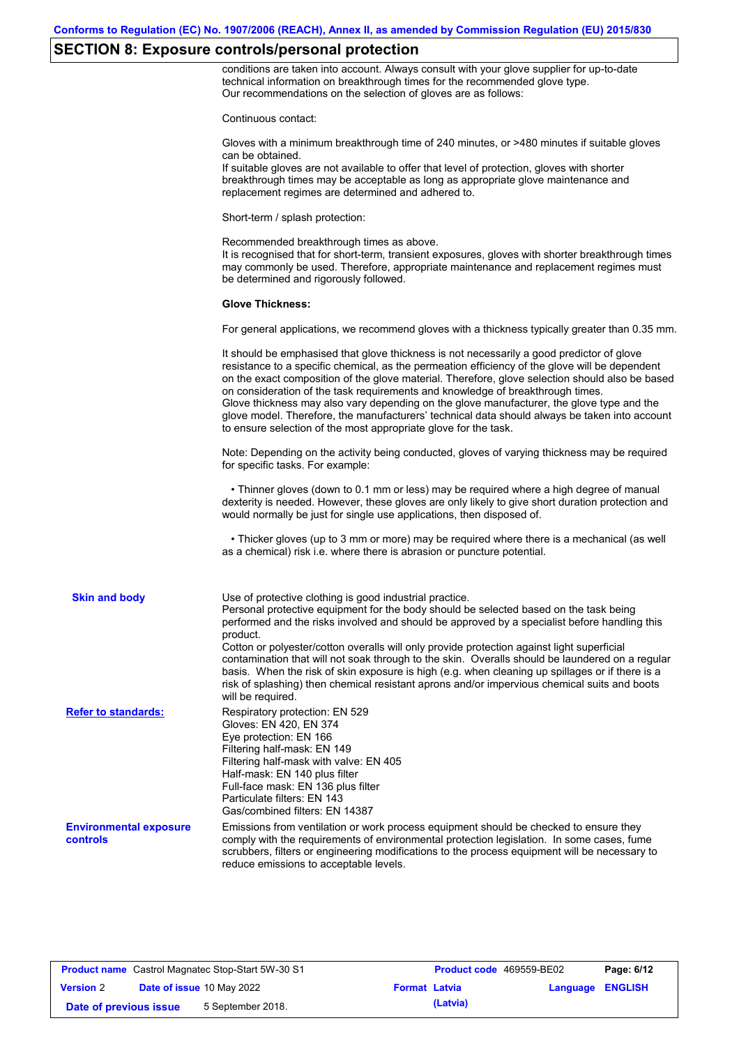# **SECTION 8: Exposure controls/personal protection**

conditions are taken into account. Always consult with your glove supplier for up-to-date technical information on breakthrough times for the recommended glove type. Our recommendations on the selection of gloves are as follows:

|                                           | Continuous contact:                                                                                                                                                                                                                                                                                                                                                                                                                                                                                                                                                                                                                                                                   |
|-------------------------------------------|---------------------------------------------------------------------------------------------------------------------------------------------------------------------------------------------------------------------------------------------------------------------------------------------------------------------------------------------------------------------------------------------------------------------------------------------------------------------------------------------------------------------------------------------------------------------------------------------------------------------------------------------------------------------------------------|
|                                           | Gloves with a minimum breakthrough time of 240 minutes, or >480 minutes if suitable gloves<br>can be obtained.<br>If suitable gloves are not available to offer that level of protection, gloves with shorter<br>breakthrough times may be acceptable as long as appropriate glove maintenance and<br>replacement regimes are determined and adhered to.                                                                                                                                                                                                                                                                                                                              |
|                                           | Short-term / splash protection:                                                                                                                                                                                                                                                                                                                                                                                                                                                                                                                                                                                                                                                       |
|                                           | Recommended breakthrough times as above.<br>It is recognised that for short-term, transient exposures, gloves with shorter breakthrough times<br>may commonly be used. Therefore, appropriate maintenance and replacement regimes must<br>be determined and rigorously followed.                                                                                                                                                                                                                                                                                                                                                                                                      |
|                                           | <b>Glove Thickness:</b>                                                                                                                                                                                                                                                                                                                                                                                                                                                                                                                                                                                                                                                               |
|                                           | For general applications, we recommend gloves with a thickness typically greater than 0.35 mm.                                                                                                                                                                                                                                                                                                                                                                                                                                                                                                                                                                                        |
|                                           | It should be emphasised that glove thickness is not necessarily a good predictor of glove<br>resistance to a specific chemical, as the permeation efficiency of the glove will be dependent<br>on the exact composition of the glove material. Therefore, glove selection should also be based<br>on consideration of the task requirements and knowledge of breakthrough times.<br>Glove thickness may also vary depending on the glove manufacturer, the glove type and the<br>glove model. Therefore, the manufacturers' technical data should always be taken into account<br>to ensure selection of the most appropriate glove for the task.                                     |
|                                           | Note: Depending on the activity being conducted, gloves of varying thickness may be required<br>for specific tasks. For example:                                                                                                                                                                                                                                                                                                                                                                                                                                                                                                                                                      |
|                                           | • Thinner gloves (down to 0.1 mm or less) may be required where a high degree of manual<br>dexterity is needed. However, these gloves are only likely to give short duration protection and<br>would normally be just for single use applications, then disposed of.                                                                                                                                                                                                                                                                                                                                                                                                                  |
|                                           | • Thicker gloves (up to 3 mm or more) may be required where there is a mechanical (as well<br>as a chemical) risk i.e. where there is abrasion or puncture potential.                                                                                                                                                                                                                                                                                                                                                                                                                                                                                                                 |
| <b>Skin and body</b>                      | Use of protective clothing is good industrial practice.<br>Personal protective equipment for the body should be selected based on the task being<br>performed and the risks involved and should be approved by a specialist before handling this<br>product.<br>Cotton or polyester/cotton overalls will only provide protection against light superficial<br>contamination that will not soak through to the skin. Overalls should be laundered on a regular<br>basis. When the risk of skin exposure is high (e.g. when cleaning up spillages or if there is a<br>risk of splashing) then chemical resistant aprons and/or impervious chemical suits and boots<br>will be required. |
| <b>Refer to standards:</b>                | Respiratory protection: EN 529<br>Gloves: EN 420, EN 374<br>Eye protection: EN 166<br>Filtering half-mask: EN 149<br>Filtering half-mask with valve: EN 405<br>Half-mask: EN 140 plus filter<br>Full-face mask: EN 136 plus filter<br>Particulate filters: EN 143<br>Gas/combined filters: EN 14387                                                                                                                                                                                                                                                                                                                                                                                   |
| <b>Environmental exposure</b><br>controls | Emissions from ventilation or work process equipment should be checked to ensure they<br>comply with the requirements of environmental protection legislation. In some cases, fume<br>scrubbers, filters or engineering modifications to the process equipment will be necessary to<br>reduce emissions to acceptable levels.                                                                                                                                                                                                                                                                                                                                                         |

|                        | <b>Product name</b> Castrol Magnatec Stop-Start 5W-30 S1 |                      | Product code 469559-BE02 |                         | Page: 6/12 |
|------------------------|----------------------------------------------------------|----------------------|--------------------------|-------------------------|------------|
| <b>Version 2</b>       | <b>Date of issue 10 May 2022</b>                         | <b>Format Latvia</b> |                          | <b>Language ENGLISH</b> |            |
| Date of previous issue | 5 September 2018.                                        |                      | (Latvia)                 |                         |            |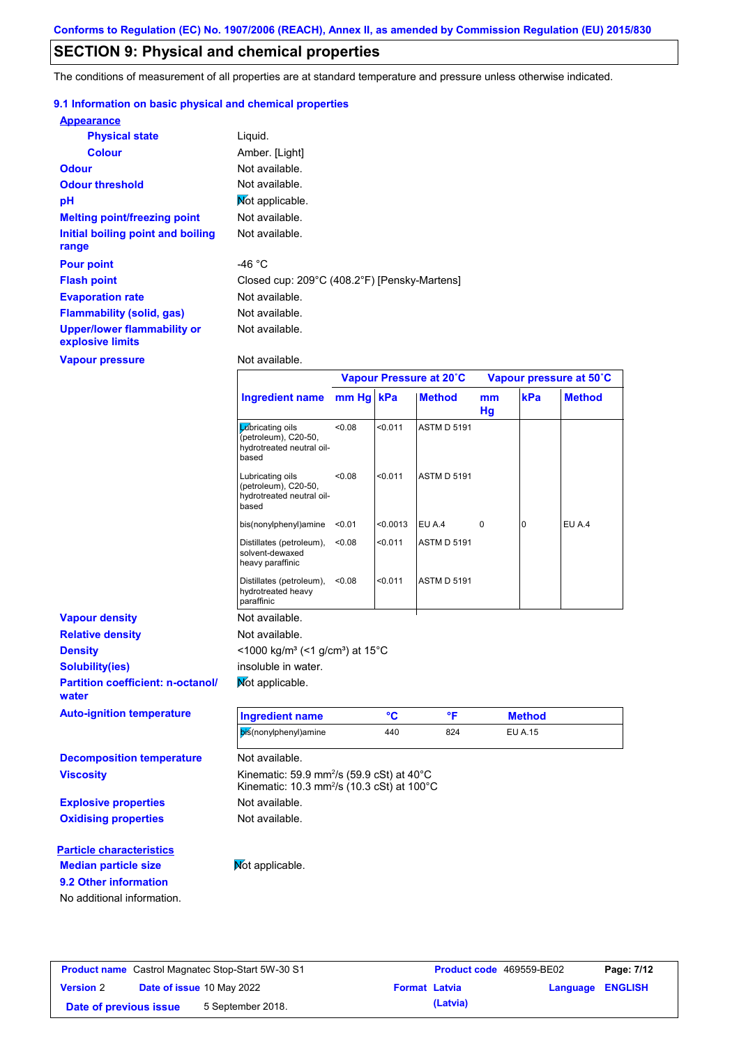## **SECTION 9: Physical and chemical properties**

The conditions of measurement of all properties are at standard temperature and pressure unless otherwise indicated.

### **9.1 Information on basic physical and chemical properties**

| <b>Appearance</b>                               |                                              |
|-------------------------------------------------|----------------------------------------------|
| <b>Physical state</b>                           | Liquid.                                      |
| <b>Colour</b>                                   | Amber. [Light]                               |
| <b>Odour</b>                                    | Not available.                               |
| <b>Odour threshold</b>                          | Not available.                               |
| pH                                              | Mot applicable.                              |
| <b>Melting point/freezing point</b>             | Not available.                               |
| Initial boiling point and boiling<br>range      | Not available.                               |
| <b>Pour point</b>                               | -46 $^{\circ}$ C                             |
| <b>Flash point</b>                              | Closed cup: 209°C (408.2°F) [Pensky-Martens] |
| <b>Evaporation rate</b>                         | Not available.                               |
| <b>Flammability (solid, gas)</b>                | Not available.                               |
| Upper/lower flammability or<br>explosive limits | Not available.                               |

**Vapour pressure**

**9.2 Other information**

No additional information.

Not available.

|                                                   |                                                                                                                                      | Vapour Pressure at 20°C |          |                    | Vapour pressure at 50°C |                |               |
|---------------------------------------------------|--------------------------------------------------------------------------------------------------------------------------------------|-------------------------|----------|--------------------|-------------------------|----------------|---------------|
|                                                   | <b>Ingredient name</b>                                                                                                               | mm Hg kPa               |          | <b>Method</b>      | mm<br>Hg                | kPa            | <b>Method</b> |
|                                                   | <b>L</b> úbricating oils<br>(petroleum), C20-50,<br>hydrotreated neutral oil-<br>based                                               | < 0.08                  | < 0.011  | <b>ASTM D 5191</b> |                         |                |               |
|                                                   | Lubricating oils<br>(petroleum), C20-50,<br>hydrotreated neutral oil-<br>based                                                       | <0.08                   | < 0.011  | <b>ASTM D 5191</b> |                         |                |               |
|                                                   | bis(nonylphenyl)amine                                                                                                                | < 0.01                  | < 0.0013 | EU A.4             | 0                       | $\overline{0}$ | EU A.4        |
|                                                   | Distillates (petroleum),<br>solvent-dewaxed<br>heavy paraffinic                                                                      | < 0.08                  | < 0.011  | <b>ASTM D 5191</b> |                         |                |               |
|                                                   | Distillates (petroleum),<br>hydrotreated heavy<br>paraffinic                                                                         | <0.08                   | < 0.011  | <b>ASTM D 5191</b> |                         |                |               |
| <b>Vapour density</b>                             | Not available.                                                                                                                       |                         |          |                    |                         |                |               |
| <b>Relative density</b>                           | Not available.                                                                                                                       |                         |          |                    |                         |                |               |
| <b>Density</b>                                    | <1000 kg/m <sup>3</sup> (<1 g/cm <sup>3</sup> ) at 15 <sup>°</sup> C                                                                 |                         |          |                    |                         |                |               |
| <b>Solubility(ies)</b>                            | insoluble in water.                                                                                                                  |                         |          |                    |                         |                |               |
| <b>Partition coefficient: n-octanol/</b><br>water | Not applicable.                                                                                                                      |                         |          |                    |                         |                |               |
| <b>Auto-ignition temperature</b>                  | <b>Ingredient name</b>                                                                                                               |                         | °C       | °F                 |                         | <b>Method</b>  |               |
|                                                   | bis(nonylphenyl)amine                                                                                                                |                         | 440      | 824                |                         | <b>EU A.15</b> |               |
| <b>Decomposition temperature</b>                  | Not available.                                                                                                                       |                         |          |                    |                         |                |               |
| <b>Viscosity</b>                                  | Kinematic: 59.9 mm <sup>2</sup> /s (59.9 cSt) at $40^{\circ}$ C<br>Kinematic: 10.3 mm <sup>2</sup> /s (10.3 cSt) at 100 $^{\circ}$ C |                         |          |                    |                         |                |               |
| <b>Explosive properties</b>                       | Not available.                                                                                                                       |                         |          |                    |                         |                |               |
| <b>Oxidising properties</b>                       | Not available.                                                                                                                       |                         |          |                    |                         |                |               |
| <b>Particle characteristics</b>                   |                                                                                                                                      |                         |          |                    |                         |                |               |
| <b>Median particle size</b>                       | Not applicable.                                                                                                                      |                         |          |                    |                         |                |               |

|                        | <b>Product name</b> Castrol Magnatec Stop-Start 5W-30 S1 |                      | <b>Product code</b> 469559-BE02 |                         | Page: 7/12 |
|------------------------|----------------------------------------------------------|----------------------|---------------------------------|-------------------------|------------|
| <b>Version 2</b>       | Date of issue 10 May 2022                                | <b>Format Latvia</b> |                                 | <b>Language ENGLISH</b> |            |
| Date of previous issue | 5 September 2018.                                        |                      | (Latvia)                        |                         |            |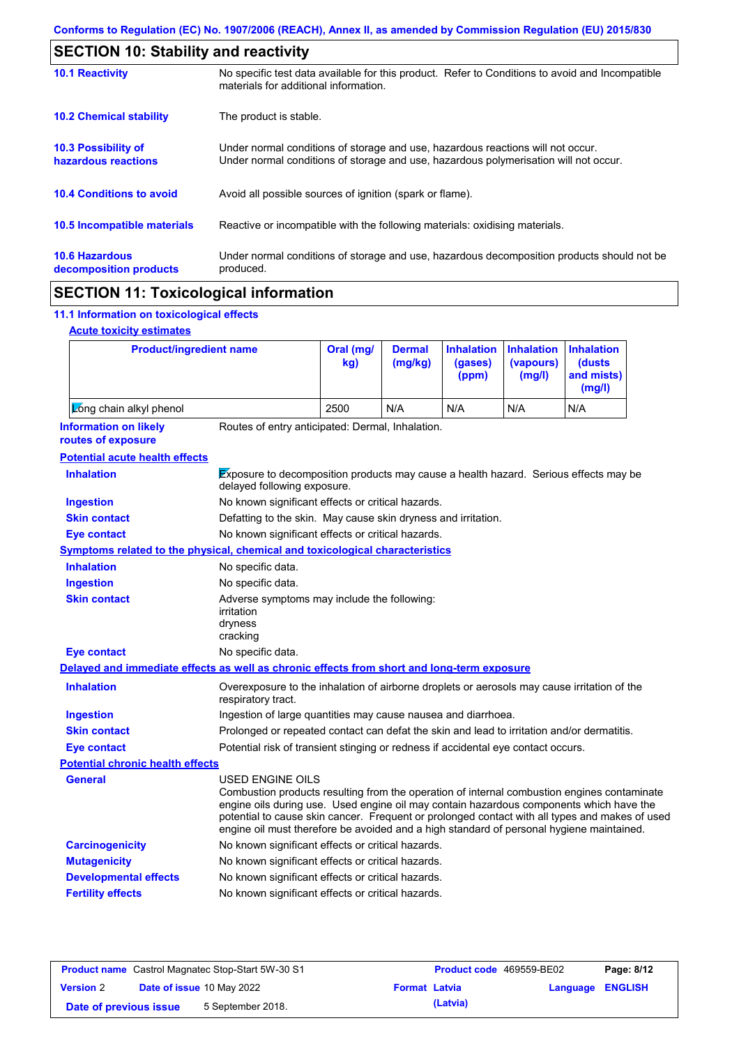| <b>SECTION 10: Stability and reactivity</b>     |                                                                                                                                                                         |
|-------------------------------------------------|-------------------------------------------------------------------------------------------------------------------------------------------------------------------------|
| <b>10.1 Reactivity</b>                          | No specific test data available for this product. Refer to Conditions to avoid and Incompatible<br>materials for additional information.                                |
| <b>10.2 Chemical stability</b>                  | The product is stable.                                                                                                                                                  |
| 10.3 Possibility of<br>hazardous reactions      | Under normal conditions of storage and use, hazardous reactions will not occur.<br>Under normal conditions of storage and use, hazardous polymerisation will not occur. |
| <b>10.4 Conditions to avoid</b>                 | Avoid all possible sources of ignition (spark or flame).                                                                                                                |
| 10.5 Incompatible materials                     | Reactive or incompatible with the following materials: oxidising materials.                                                                                             |
| <b>10.6 Hazardous</b><br>decomposition products | Under normal conditions of storage and use, hazardous decomposition products should not be<br>produced.                                                                 |
| <b>AMAMIALL JJ</b>                              |                                                                                                                                                                         |

## **SECTION 11: Toxicological information**

## **11.1 Information on toxicological effects**

|  | <b>Acute toxicity estimates</b> |
|--|---------------------------------|
|  |                                 |

 $\mathbf{r}$ 

| <b>Product/ingredient name</b>                                                             |                                                                                                                                                                                                                                                                                                                                                                                                                 | Oral (mg/<br>kg) | <b>Dermal</b><br>(mg/kg) | <b>Inhalation</b><br>(gases)<br>(ppm) | <b>Inhalation</b><br>(vapours)<br>(mg/l) | <b>Inhalation</b><br>(dusts)<br>and mists)<br>(mg/l) |  |
|--------------------------------------------------------------------------------------------|-----------------------------------------------------------------------------------------------------------------------------------------------------------------------------------------------------------------------------------------------------------------------------------------------------------------------------------------------------------------------------------------------------------------|------------------|--------------------------|---------------------------------------|------------------------------------------|------------------------------------------------------|--|
| Long chain alkyl phenol                                                                    |                                                                                                                                                                                                                                                                                                                                                                                                                 | 2500             | N/A                      | N/A                                   | N/A                                      | N/A                                                  |  |
| <b>Information on likely</b><br>routes of exposure                                         | Routes of entry anticipated: Dermal, Inhalation.                                                                                                                                                                                                                                                                                                                                                                |                  |                          |                                       |                                          |                                                      |  |
| <b>Potential acute health effects</b>                                                      |                                                                                                                                                                                                                                                                                                                                                                                                                 |                  |                          |                                       |                                          |                                                      |  |
| <b>Inhalation</b>                                                                          | Exposure to decomposition products may cause a health hazard. Serious effects may be<br>delayed following exposure.                                                                                                                                                                                                                                                                                             |                  |                          |                                       |                                          |                                                      |  |
| <b>Ingestion</b>                                                                           | No known significant effects or critical hazards.                                                                                                                                                                                                                                                                                                                                                               |                  |                          |                                       |                                          |                                                      |  |
| <b>Skin contact</b>                                                                        | Defatting to the skin. May cause skin dryness and irritation.                                                                                                                                                                                                                                                                                                                                                   |                  |                          |                                       |                                          |                                                      |  |
| <b>Eye contact</b>                                                                         | No known significant effects or critical hazards.                                                                                                                                                                                                                                                                                                                                                               |                  |                          |                                       |                                          |                                                      |  |
| <b>Symptoms related to the physical, chemical and toxicological characteristics</b>        |                                                                                                                                                                                                                                                                                                                                                                                                                 |                  |                          |                                       |                                          |                                                      |  |
| <b>Inhalation</b>                                                                          | No specific data.                                                                                                                                                                                                                                                                                                                                                                                               |                  |                          |                                       |                                          |                                                      |  |
| <b>Ingestion</b>                                                                           | No specific data.                                                                                                                                                                                                                                                                                                                                                                                               |                  |                          |                                       |                                          |                                                      |  |
| <b>Skin contact</b>                                                                        | Adverse symptoms may include the following:<br>irritation<br>dryness<br>cracking                                                                                                                                                                                                                                                                                                                                |                  |                          |                                       |                                          |                                                      |  |
| <b>Eye contact</b>                                                                         | No specific data.                                                                                                                                                                                                                                                                                                                                                                                               |                  |                          |                                       |                                          |                                                      |  |
| Delayed and immediate effects as well as chronic effects from short and long-term exposure |                                                                                                                                                                                                                                                                                                                                                                                                                 |                  |                          |                                       |                                          |                                                      |  |
| <b>Inhalation</b>                                                                          | Overexposure to the inhalation of airborne droplets or aerosols may cause irritation of the<br>respiratory tract.                                                                                                                                                                                                                                                                                               |                  |                          |                                       |                                          |                                                      |  |
| <b>Ingestion</b>                                                                           | Ingestion of large quantities may cause nausea and diarrhoea.                                                                                                                                                                                                                                                                                                                                                   |                  |                          |                                       |                                          |                                                      |  |
| <b>Skin contact</b>                                                                        | Prolonged or repeated contact can defat the skin and lead to irritation and/or dermatitis.                                                                                                                                                                                                                                                                                                                      |                  |                          |                                       |                                          |                                                      |  |
| <b>Eye contact</b>                                                                         | Potential risk of transient stinging or redness if accidental eye contact occurs.                                                                                                                                                                                                                                                                                                                               |                  |                          |                                       |                                          |                                                      |  |
| <b>Potential chronic health effects</b>                                                    |                                                                                                                                                                                                                                                                                                                                                                                                                 |                  |                          |                                       |                                          |                                                      |  |
| General                                                                                    | <b>USED ENGINE OILS</b><br>Combustion products resulting from the operation of internal combustion engines contaminate<br>engine oils during use. Used engine oil may contain hazardous components which have the<br>potential to cause skin cancer. Frequent or prolonged contact with all types and makes of used<br>engine oil must therefore be avoided and a high standard of personal hygiene maintained. |                  |                          |                                       |                                          |                                                      |  |
| <b>Carcinogenicity</b>                                                                     | No known significant effects or critical hazards.                                                                                                                                                                                                                                                                                                                                                               |                  |                          |                                       |                                          |                                                      |  |
| <b>Mutagenicity</b>                                                                        | No known significant effects or critical hazards.                                                                                                                                                                                                                                                                                                                                                               |                  |                          |                                       |                                          |                                                      |  |
| <b>Developmental effects</b>                                                               | No known significant effects or critical hazards.                                                                                                                                                                                                                                                                                                                                                               |                  |                          |                                       |                                          |                                                      |  |
| <b>Fertility effects</b>                                                                   | No known significant effects or critical hazards.                                                                                                                                                                                                                                                                                                                                                               |                  |                          |                                       |                                          |                                                      |  |

| <b>Product name</b> Castrol Magnatec Stop-Start 5W-30 S1 |                           |                   | <b>Product code</b> 469559-BE02 | Page: 8/12 |                         |  |
|----------------------------------------------------------|---------------------------|-------------------|---------------------------------|------------|-------------------------|--|
| <b>Version 2</b>                                         | Date of issue 10 May 2022 |                   | <b>Format Latvia</b>            |            | <b>Language ENGLISH</b> |  |
| Date of previous issue                                   |                           | 5 September 2018. |                                 | (Latvia)   |                         |  |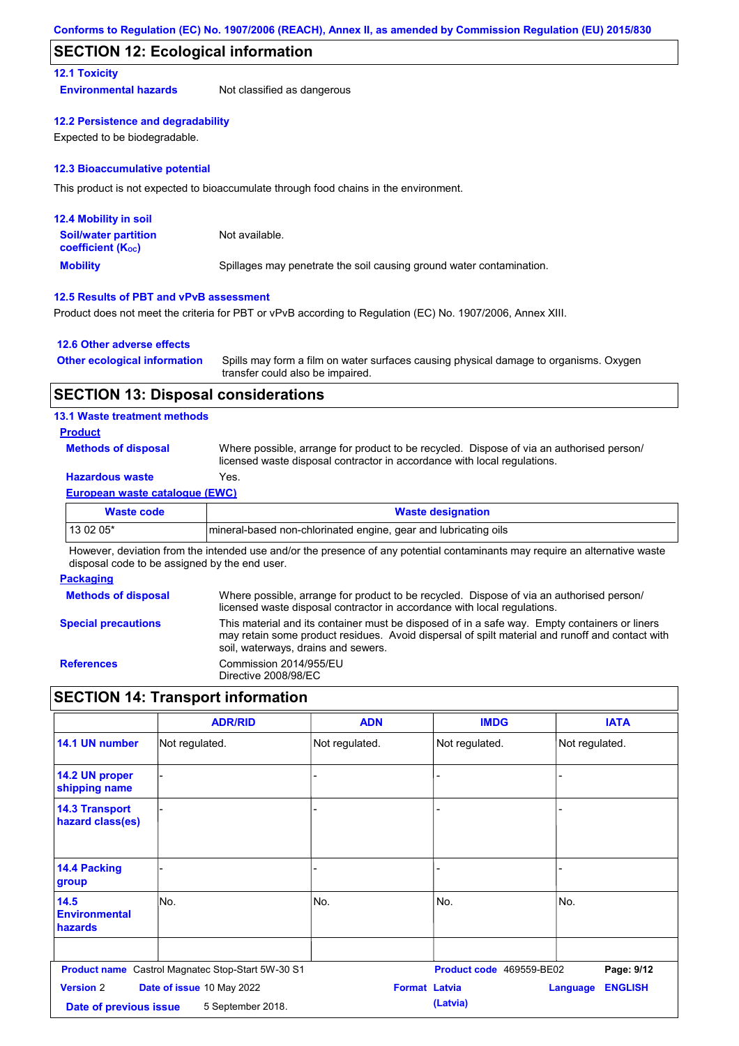## **SECTION 12: Ecological information**

## **12.1 Toxicity**

**Environmental hazards** Not classified as dangerous

#### **12.2 Persistence and degradability**

Expected to be biodegradable.

#### **12.3 Bioaccumulative potential**

This product is not expected to bioaccumulate through food chains in the environment.

| <b>12.4 Mobility in soil</b>                                  |                                                                      |
|---------------------------------------------------------------|----------------------------------------------------------------------|
| <b>Soil/water partition</b><br>coefficient (K <sub>oc</sub> ) | Not available.                                                       |
| <b>Mobility</b>                                               | Spillages may penetrate the soil causing ground water contamination. |

### **12.5 Results of PBT and vPvB assessment**

Product does not meet the criteria for PBT or vPvB according to Regulation (EC) No. 1907/2006, Annex XIII.

### **12.6 Other adverse effects**

| <b>Other ecological information</b> | Spills may form a film on water surfaces causing physical damage to organisms. Oxygen |
|-------------------------------------|---------------------------------------------------------------------------------------|
|                                     | transfer could also be impaired.                                                      |

## **SECTION 13: Disposal considerations**

### **13.1 Waste treatment methods**

### **Product**

**Methods of disposal**

Where possible, arrange for product to be recycled. Dispose of via an authorised person/ licensed waste disposal contractor in accordance with local regulations.

## **Hazardous waste** Yes.

#### **European waste catalogue (EWC)**

| Waste code | <b>Waste designation</b>                                         |
|------------|------------------------------------------------------------------|
| $130205*$  | Imineral-based non-chlorinated engine, gear and lubricating oils |

However, deviation from the intended use and/or the presence of any potential contaminants may require an alternative waste disposal code to be assigned by the end user.

#### **Packaging**

| <b>Methods of disposal</b> | Where possible, arrange for product to be recycled. Dispose of via an authorised person/<br>licensed waste disposal contractor in accordance with local regulations.                                                                    |
|----------------------------|-----------------------------------------------------------------------------------------------------------------------------------------------------------------------------------------------------------------------------------------|
| <b>Special precautions</b> | This material and its container must be disposed of in a safe way. Empty containers or liners<br>may retain some product residues. Avoid dispersal of spilt material and runoff and contact with<br>soil, waterways, drains and sewers. |
| <b>References</b>          | Commission 2014/955/EU<br>Directive 2008/98/EC                                                                                                                                                                                          |

## **SECTION 14: Transport information**

|                                           | <b>ADR/RID</b>                                           | <b>ADN</b>           | <b>IMDG</b>              | <b>IATA</b>                       |
|-------------------------------------------|----------------------------------------------------------|----------------------|--------------------------|-----------------------------------|
| 14.1 UN number                            | Not regulated.                                           | Not regulated.       | Not regulated.           | Not regulated.                    |
| 14.2 UN proper<br>shipping name           |                                                          |                      |                          |                                   |
| <b>14.3 Transport</b><br>hazard class(es) |                                                          |                      |                          |                                   |
| 14.4 Packing<br>group                     |                                                          |                      |                          |                                   |
| 14.5<br><b>Environmental</b><br>hazards   | No.                                                      | No.                  | No.                      | No.                               |
|                                           | <b>Product name</b> Castrol Magnatec Stop-Start 5W-30 S1 |                      | Product code 469559-BE02 | Page: 9/12                        |
| <b>Version 2</b>                          | Date of issue 10 May 2022                                | <b>Format Latvia</b> |                          | <b>ENGLISH</b><br><b>Language</b> |
| Date of previous issue                    | 5 September 2018.                                        |                      | (Latvia)                 |                                   |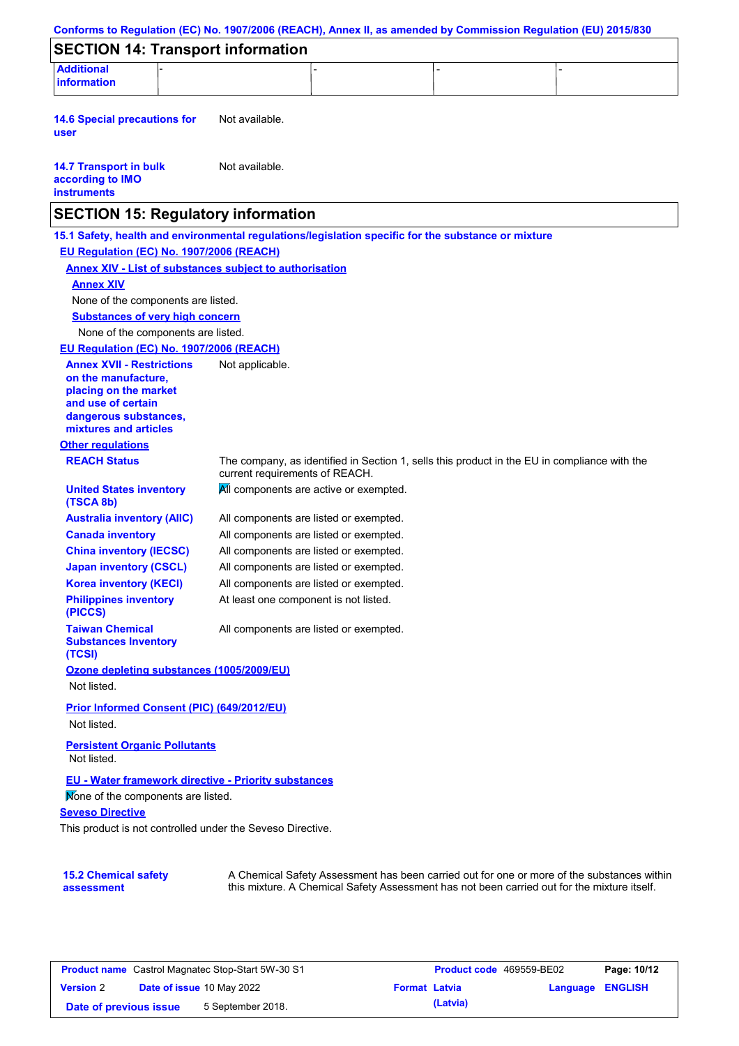| <b>SECTION 14: Transport information</b>                                                                                        |                                                                |                                                                                                     |  |
|---------------------------------------------------------------------------------------------------------------------------------|----------------------------------------------------------------|-----------------------------------------------------------------------------------------------------|--|
| <b>Additional</b>                                                                                                               |                                                                |                                                                                                     |  |
| information                                                                                                                     |                                                                |                                                                                                     |  |
| <b>14.6 Special precautions for</b><br>user                                                                                     | Not available.                                                 |                                                                                                     |  |
| <b>14.7 Transport in bulk</b><br>according to IMO<br><b>instruments</b>                                                         | Not available.                                                 |                                                                                                     |  |
|                                                                                                                                 | <b>SECTION 15: Regulatory information</b>                      |                                                                                                     |  |
|                                                                                                                                 |                                                                | 15.1 Safety, health and environmental regulations/legislation specific for the substance or mixture |  |
| EU Regulation (EC) No. 1907/2006 (REACH)                                                                                        |                                                                |                                                                                                     |  |
|                                                                                                                                 | <b>Annex XIV - List of substances subject to authorisation</b> |                                                                                                     |  |
| <b>Annex XIV</b>                                                                                                                |                                                                |                                                                                                     |  |
| None of the components are listed.                                                                                              |                                                                |                                                                                                     |  |
| <b>Substances of very high concern</b>                                                                                          |                                                                |                                                                                                     |  |
| None of the components are listed.                                                                                              |                                                                |                                                                                                     |  |
| EU Regulation (EC) No. 1907/2006 (REACH)                                                                                        |                                                                |                                                                                                     |  |
| <b>Annex XVII - Restrictions</b><br>on the manufacture,<br>placing on the market<br>and use of certain<br>dangerous substances, | Not applicable.                                                |                                                                                                     |  |
| mixtures and articles                                                                                                           |                                                                |                                                                                                     |  |
| <b>Other regulations</b>                                                                                                        |                                                                |                                                                                                     |  |
| <b>REACH Status</b>                                                                                                             | current requirements of REACH.                                 | The company, as identified in Section 1, sells this product in the EU in compliance with the        |  |
| <b>United States inventory</b><br>(TSCA 8b)                                                                                     |                                                                | All components are active or exempted.                                                              |  |
| <b>Australia inventory (AIIC)</b>                                                                                               |                                                                | All components are listed or exempted.                                                              |  |
| <b>Canada inventory</b>                                                                                                         |                                                                | All components are listed or exempted.                                                              |  |
| <b>China inventory (IECSC)</b>                                                                                                  |                                                                | All components are listed or exempted.                                                              |  |
| <b>Japan inventory (CSCL)</b>                                                                                                   |                                                                | All components are listed or exempted.                                                              |  |
| <b>Korea inventory (KECI)</b>                                                                                                   |                                                                | All components are listed or exempted.                                                              |  |
| <b>Philippines inventory</b><br>(PICCS)                                                                                         | At least one component is not listed.                          |                                                                                                     |  |
| <b>Taiwan Chemical</b><br><b>Substances Inventory</b><br>(TCSI)                                                                 |                                                                | All components are listed or exempted.                                                              |  |
| Ozone depleting substances (1005/2009/EU)                                                                                       |                                                                |                                                                                                     |  |
| Not listed.                                                                                                                     |                                                                |                                                                                                     |  |
| Prior Informed Consent (PIC) (649/2012/EU)                                                                                      |                                                                |                                                                                                     |  |
| Not listed.                                                                                                                     |                                                                |                                                                                                     |  |
| <b>Persistent Organic Pollutants</b><br>Not listed.                                                                             |                                                                |                                                                                                     |  |
|                                                                                                                                 | EU - Water framework directive - Priority substances           |                                                                                                     |  |
| Mone of the components are listed.                                                                                              |                                                                |                                                                                                     |  |
| <b>Seveso Directive</b>                                                                                                         |                                                                |                                                                                                     |  |
|                                                                                                                                 | This product is not controlled under the Seveso Directive.     |                                                                                                     |  |
|                                                                                                                                 |                                                                |                                                                                                     |  |
| <b>15.2 Chemical safety</b>                                                                                                     |                                                                | A Chemical Safety Assessment has been carried out for one or more of the substances within          |  |
| assessment                                                                                                                      |                                                                | this mixture. A Chemical Safety Assessment has not been carried out for the mixture itself.         |  |

| <b>Product name</b> Castrol Magnatec Stop-Start 5W-30 S1 |                                  |                   | <b>Product code</b> 469559-BE02 | Page: 10/12 |                         |  |
|----------------------------------------------------------|----------------------------------|-------------------|---------------------------------|-------------|-------------------------|--|
| <b>Version 2</b>                                         | <b>Date of issue 10 May 2022</b> |                   | <b>Format Latvia</b>            |             | <b>Language ENGLISH</b> |  |
| Date of previous issue                                   |                                  | 5 September 2018. |                                 | (Latvia)    |                         |  |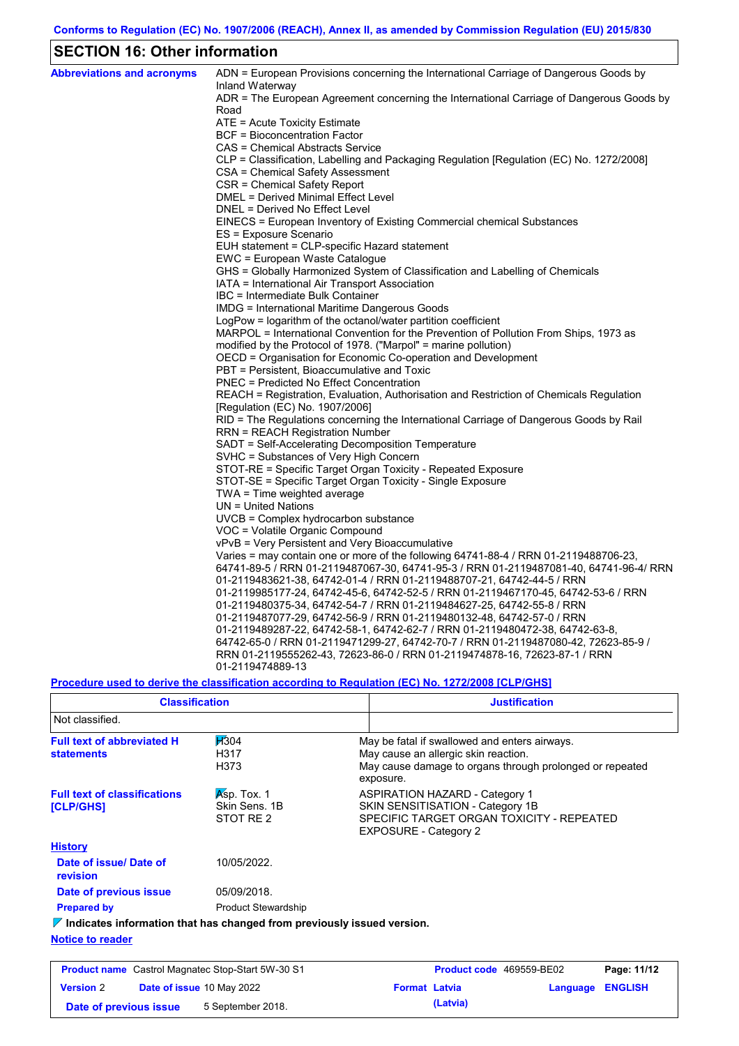## **SECTION 16: Other information**

| <b>Abbreviations and acronyms</b> | ADN = European Provisions concerning the International Carriage of Dangerous Goods by<br>Inland Waterway                                               |
|-----------------------------------|--------------------------------------------------------------------------------------------------------------------------------------------------------|
|                                   | ADR = The European Agreement concerning the International Carriage of Dangerous Goods by                                                               |
|                                   | Road                                                                                                                                                   |
|                                   | ATE = Acute Toxicity Estimate                                                                                                                          |
|                                   | BCF = Bioconcentration Factor                                                                                                                          |
|                                   | CAS = Chemical Abstracts Service                                                                                                                       |
|                                   | CLP = Classification, Labelling and Packaging Regulation [Regulation (EC) No. 1272/2008]                                                               |
|                                   | CSA = Chemical Safety Assessment                                                                                                                       |
|                                   | CSR = Chemical Safety Report                                                                                                                           |
|                                   | DMEL = Derived Minimal Effect Level                                                                                                                    |
|                                   | DNEL = Derived No Effect Level                                                                                                                         |
|                                   | EINECS = European Inventory of Existing Commercial chemical Substances                                                                                 |
|                                   | ES = Exposure Scenario                                                                                                                                 |
|                                   | EUH statement = CLP-specific Hazard statement                                                                                                          |
|                                   | EWC = European Waste Catalogue                                                                                                                         |
|                                   | GHS = Globally Harmonized System of Classification and Labelling of Chemicals                                                                          |
|                                   | IATA = International Air Transport Association                                                                                                         |
|                                   | IBC = Intermediate Bulk Container                                                                                                                      |
|                                   | IMDG = International Maritime Dangerous Goods                                                                                                          |
|                                   | LogPow = logarithm of the octanol/water partition coefficient<br>MARPOL = International Convention for the Prevention of Pollution From Ships, 1973 as |
|                                   | modified by the Protocol of 1978. ("Marpol" = marine pollution)                                                                                        |
|                                   | OECD = Organisation for Economic Co-operation and Development                                                                                          |
|                                   | PBT = Persistent, Bioaccumulative and Toxic                                                                                                            |
|                                   | <b>PNEC = Predicted No Effect Concentration</b>                                                                                                        |
|                                   | REACH = Registration, Evaluation, Authorisation and Restriction of Chemicals Regulation                                                                |
|                                   | [Regulation (EC) No. 1907/2006]                                                                                                                        |
|                                   | RID = The Regulations concerning the International Carriage of Dangerous Goods by Rail                                                                 |
|                                   | RRN = REACH Registration Number                                                                                                                        |
|                                   | SADT = Self-Accelerating Decomposition Temperature                                                                                                     |
|                                   | SVHC = Substances of Very High Concern                                                                                                                 |
|                                   | STOT-RE = Specific Target Organ Toxicity - Repeated Exposure                                                                                           |
|                                   | STOT-SE = Specific Target Organ Toxicity - Single Exposure                                                                                             |
|                                   | $TWA = Time weighted average$                                                                                                                          |
|                                   | $UN = United Nations$                                                                                                                                  |
|                                   | UVCB = Complex hydrocarbon substance                                                                                                                   |
|                                   | VOC = Volatile Organic Compound                                                                                                                        |
|                                   | vPvB = Very Persistent and Very Bioaccumulative                                                                                                        |
|                                   | Varies = may contain one or more of the following 64741-88-4 / RRN 01-2119488706-23,                                                                   |
|                                   | 64741-89-5 / RRN 01-2119487067-30, 64741-95-3 / RRN 01-2119487081-40, 64741-96-4/ RRN                                                                  |
|                                   | 01-2119483621-38, 64742-01-4 / RRN 01-2119488707-21, 64742-44-5 / RRN                                                                                  |
|                                   | 01-2119985177-24, 64742-45-6, 64742-52-5 / RRN 01-2119467170-45, 64742-53-6 / RRN                                                                      |
|                                   | 01-2119480375-34, 64742-54-7 / RRN 01-2119484627-25, 64742-55-8 / RRN                                                                                  |
|                                   | 01-2119487077-29, 64742-56-9 / RRN 01-2119480132-48, 64742-57-0 / RRN                                                                                  |
|                                   | 01-2119489287-22, 64742-58-1, 64742-62-7 / RRN 01-2119480472-38, 64742-63-8,                                                                           |
|                                   | 64742-65-0 / RRN 01-2119471299-27, 64742-70-7 / RRN 01-2119487080-42, 72623-85-9 /                                                                     |
|                                   | RRN 01-2119555262-43, 72623-86-0 / RRN 01-2119474878-16, 72623-87-1 / RRN                                                                              |
|                                   | 01-2119474889-13                                                                                                                                       |

**Procedure used to derive the classification according to Regulation (EC) No. 1272/2008 [CLP/GHS]**

| <b>Classification</b>                                                           |                                           | <b>Justification</b>                                                                                                                                           |
|---------------------------------------------------------------------------------|-------------------------------------------|----------------------------------------------------------------------------------------------------------------------------------------------------------------|
| Not classified.                                                                 |                                           |                                                                                                                                                                |
| <b>Full text of abbreviated H</b><br><b>statements</b>                          | H304<br>H317<br>H373                      | May be fatal if swallowed and enters airways.<br>May cause an allergic skin reaction.<br>May cause damage to organs through prolonged or repeated<br>exposure. |
| <b>Full text of classifications</b><br><b>[CLP/GHS]</b>                         | Asp. Tox. 1<br>Skin Sens, 1B<br>STOT RE 2 | <b>ASPIRATION HAZARD - Category 1</b><br>SKIN SENSITISATION - Category 1B<br>SPECIFIC TARGET ORGAN TOXICITY - REPEATED<br><b>EXPOSURE - Category 2</b>         |
| <b>History</b>                                                                  |                                           |                                                                                                                                                                |
| Date of issue/Date of<br>revision                                               | 10/05/2022.                               |                                                                                                                                                                |
| Date of previous issue                                                          | 05/09/2018.                               |                                                                                                                                                                |
| <b>Prepared by</b>                                                              | <b>Product Stewardship</b>                |                                                                                                                                                                |
| $\nabla$ Indicates information that has changed from previously issued version. |                                           |                                                                                                                                                                |
| <b>Notice to reader</b>                                                         |                                           |                                                                                                                                                                |

| <b>Product name</b> Castrol Magnatec Stop-Start 5W-30 S1 |  |                                  | Product code 469559-BE02 | Page: 11/12 |                         |  |
|----------------------------------------------------------|--|----------------------------------|--------------------------|-------------|-------------------------|--|
| <b>Version 2</b>                                         |  | <b>Date of issue 10 May 2022</b> | <b>Format Latvia</b>     |             | <b>Language ENGLISH</b> |  |
| Date of previous issue                                   |  | 5 September 2018.                |                          | (Latvia)    |                         |  |